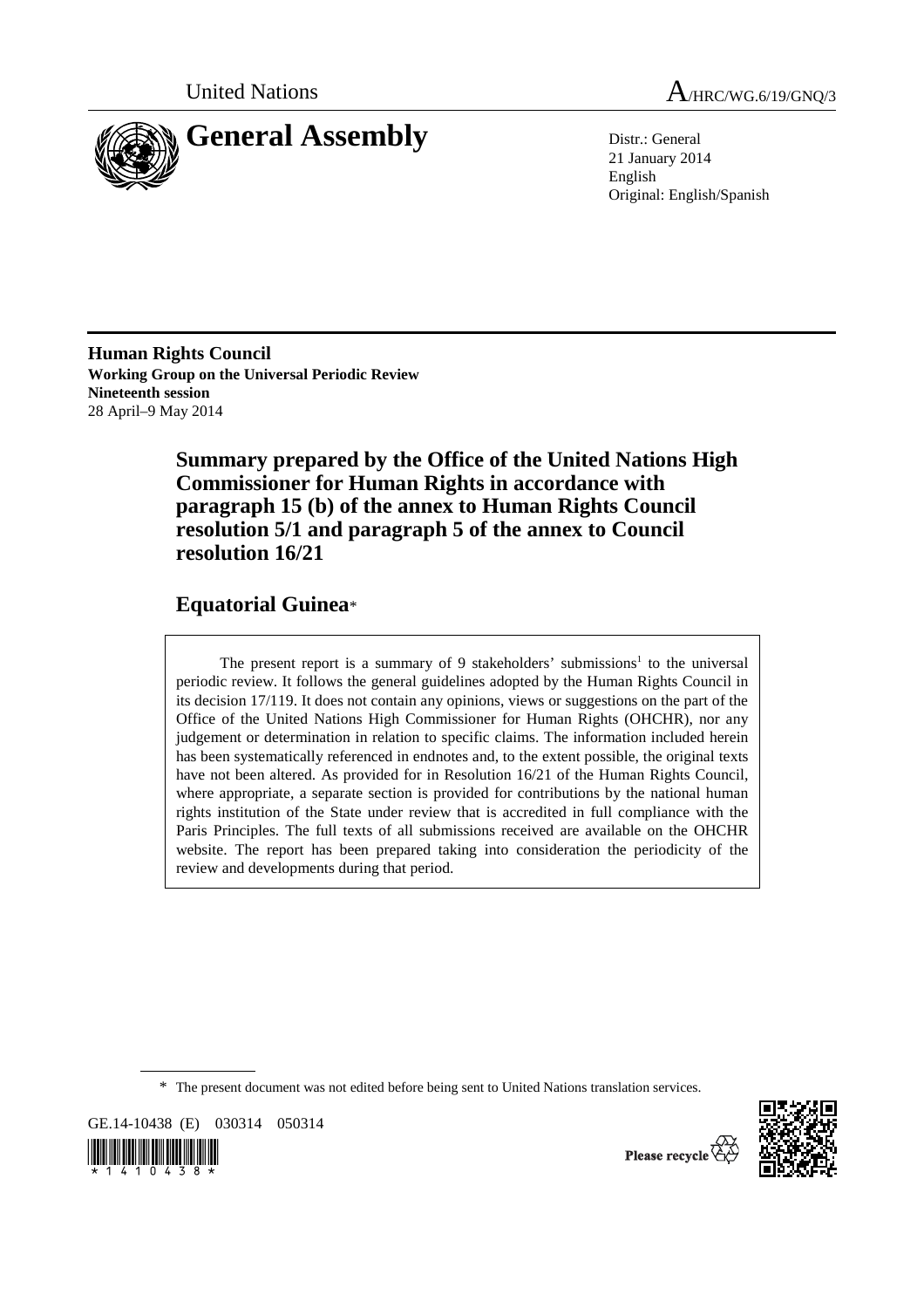

United Nations A<sub>/HRC/WG.6/19/GNO/3</sub>

21 January 2014 English Original: English/Spanish

**Human Rights Council Working Group on the Universal Periodic Review Nineteenth session**  28 April–9 May 2014

> **Summary prepared by the Office of the United Nations High Commissioner for Human Rights in accordance with paragraph 15 (b) of the annex to Human Rights Council resolution 5/1 and paragraph 5 of the annex to Council resolution 16/21**

# **Equatorial Guinea**\*

The present report is a summary of 9 stakeholders' submissions<sup>1</sup> to the universal periodic review. It follows the general guidelines adopted by the Human Rights Council in its decision 17/119. It does not contain any opinions, views or suggestions on the part of the Office of the United Nations High Commissioner for Human Rights (OHCHR), nor any judgement or determination in relation to specific claims. The information included herein has been systematically referenced in endnotes and, to the extent possible, the original texts have not been altered. As provided for in Resolution 16/21 of the Human Rights Council, where appropriate, a separate section is provided for contributions by the national human rights institution of the State under review that is accredited in full compliance with the Paris Principles. The full texts of all submissions received are available on the OHCHR website. The report has been prepared taking into consideration the periodicity of the review and developments during that period.

\* The present document was not edited before being sent to United Nations translation services.

GE.14-10438 (E) 030314 050314





Please recycle<sup>7</sup>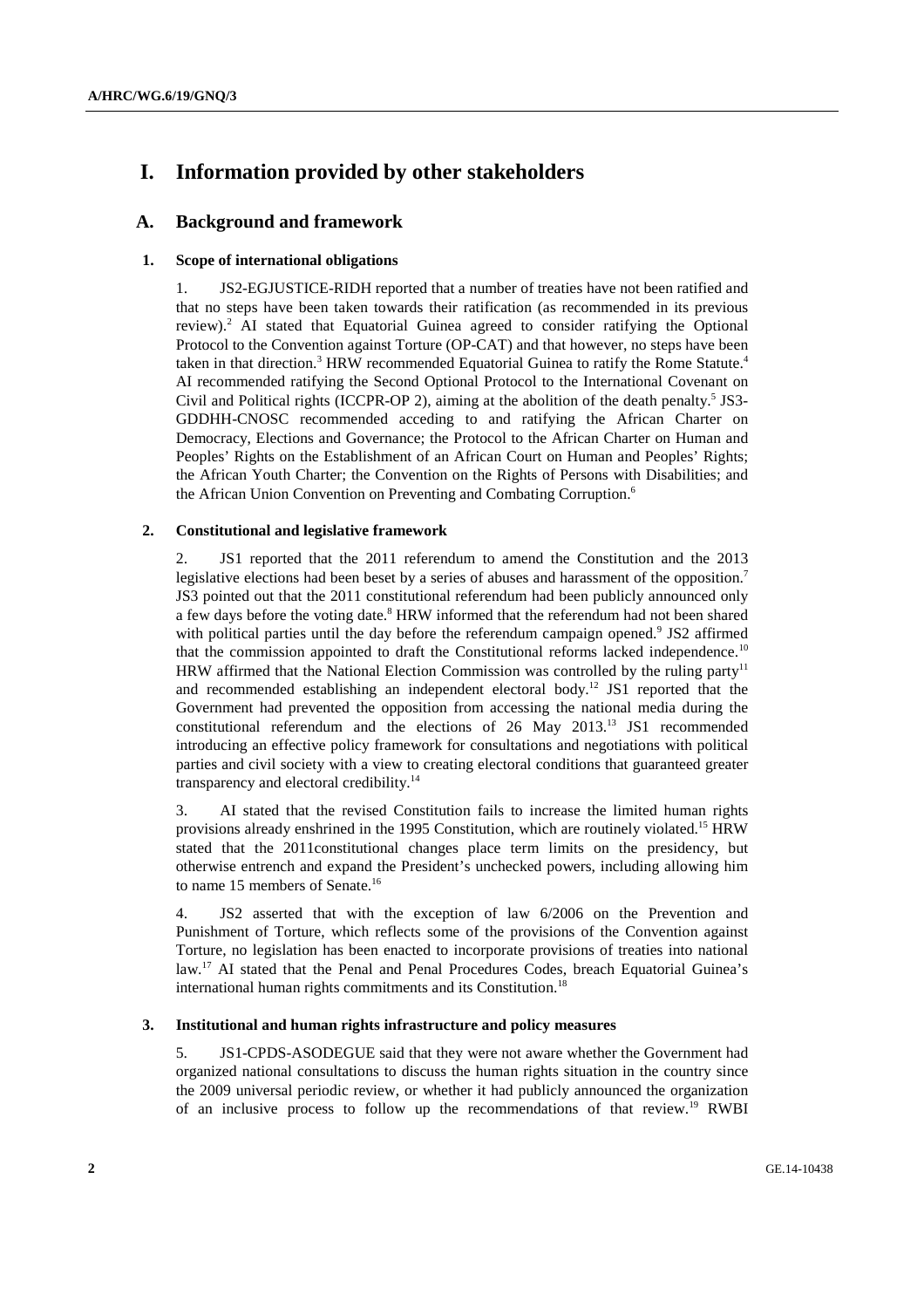# **I. Information provided by other stakeholders**

## **A. Background and framework**

## **1. Scope of international obligations**

1. JS2-EGJUSTICE-RIDH reported that a number of treaties have not been ratified and that no steps have been taken towards their ratification (as recommended in its previous review).<sup>2</sup> AI stated that Equatorial Guinea agreed to consider ratifying the Optional Protocol to the Convention against Torture (OP-CAT) and that however, no steps have been taken in that direction.<sup>3</sup> HRW recommended Equatorial Guinea to ratify the Rome Statute.<sup>4</sup> AI recommended ratifying the Second Optional Protocol to the International Covenant on Civil and Political rights (ICCPR-OP 2), aiming at the abolition of the death penalty.<sup>5</sup> JS3-GDDHH-CNOSC recommended acceding to and ratifying the African Charter on Democracy, Elections and Governance; the Protocol to the African Charter on Human and Peoples' Rights on the Establishment of an African Court on Human and Peoples' Rights; the African Youth Charter; the Convention on the Rights of Persons with Disabilities; and the African Union Convention on Preventing and Combating Corruption.<sup>6</sup>

## **2. Constitutional and legislative framework**

2. JS1 reported that the 2011 referendum to amend the Constitution and the 2013 legislative elections had been beset by a series of abuses and harassment of the opposition.<sup>7</sup> JS3 pointed out that the 2011 constitutional referendum had been publicly announced only a few days before the voting date.<sup>8</sup> HRW informed that the referendum had not been shared with political parties until the day before the referendum campaign opened.<sup>9</sup> JS2 affirmed that the commission appointed to draft the Constitutional reforms lacked independence.<sup>10</sup> HRW affirmed that the National Election Commission was controlled by the ruling party<sup>11</sup> and recommended establishing an independent electoral body.12 JS1 reported that the Government had prevented the opposition from accessing the national media during the constitutional referendum and the elections of 26 May 2013.13 JS1 recommended introducing an effective policy framework for consultations and negotiations with political parties and civil society with a view to creating electoral conditions that guaranteed greater transparency and electoral credibility.<sup>14</sup>

3. AI stated that the revised Constitution fails to increase the limited human rights provisions already enshrined in the 1995 Constitution, which are routinely violated.15 HRW stated that the 2011constitutional changes place term limits on the presidency, but otherwise entrench and expand the President's unchecked powers, including allowing him to name 15 members of Senate.<sup>16</sup>

4. JS2 asserted that with the exception of law 6/2006 on the Prevention and Punishment of Torture, which reflects some of the provisions of the Convention against Torture, no legislation has been enacted to incorporate provisions of treaties into national law.<sup>17</sup> AI stated that the Penal and Penal Procedures Codes, breach Equatorial Guinea's international human rights commitments and its Constitution.<sup>18</sup>

#### **3. Institutional and human rights infrastructure and policy measures**

5. JS1-CPDS-ASODEGUE said that they were not aware whether the Government had organized national consultations to discuss the human rights situation in the country since the 2009 universal periodic review, or whether it had publicly announced the organization of an inclusive process to follow up the recommendations of that review.19 RWBI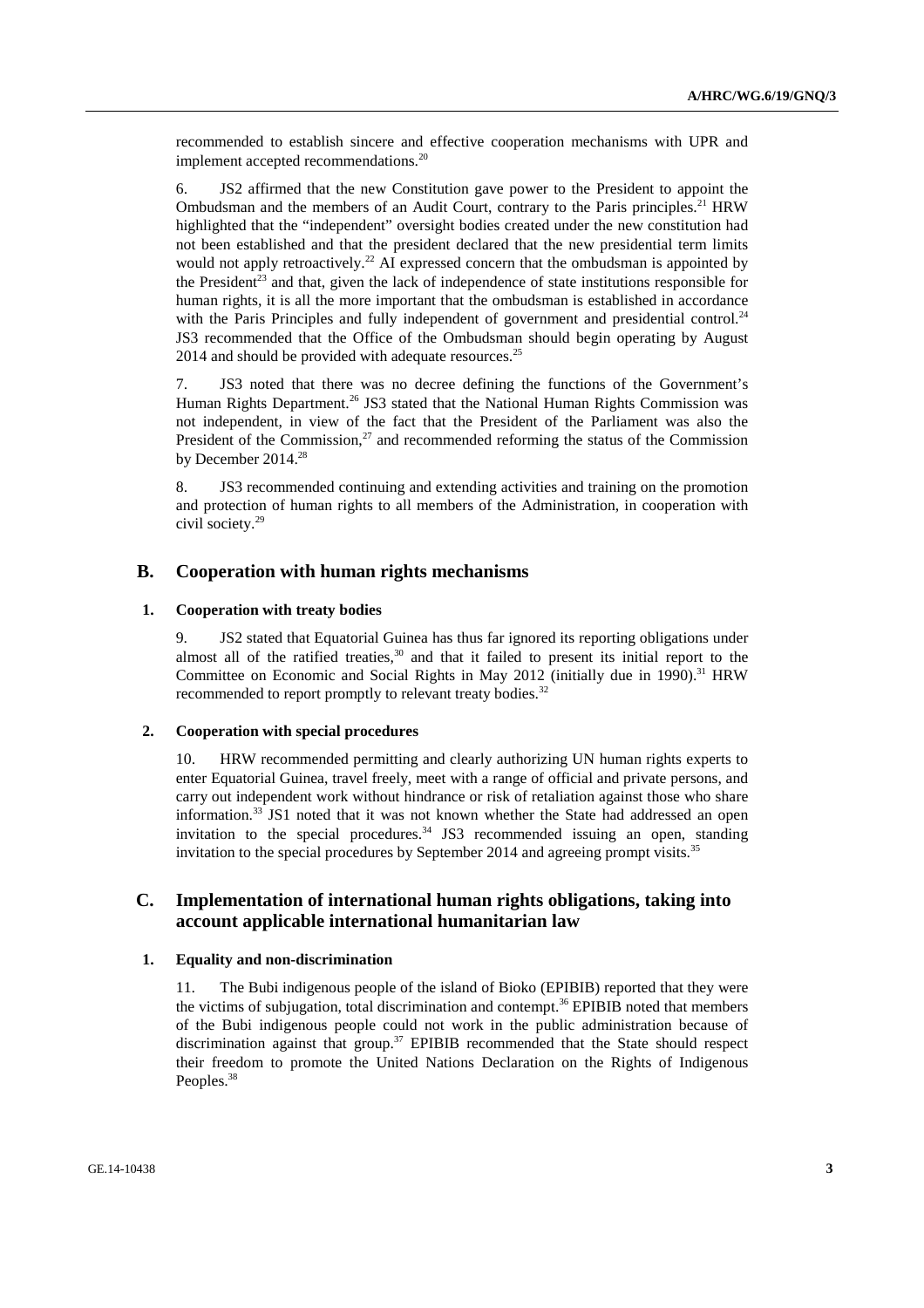recommended to establish sincere and effective cooperation mechanisms with UPR and implement accepted recommendations.<sup>20</sup>

6. JS2 affirmed that the new Constitution gave power to the President to appoint the Ombudsman and the members of an Audit Court, contrary to the Paris principles.<sup>21</sup> HRW highlighted that the "independent" oversight bodies created under the new constitution had not been established and that the president declared that the new presidential term limits would not apply retroactively.<sup>22</sup> AI expressed concern that the ombudsman is appointed by the President<sup>23</sup> and that, given the lack of independence of state institutions responsible for human rights, it is all the more important that the ombudsman is established in accordance with the Paris Principles and fully independent of government and presidential control.<sup>24</sup> JS3 recommended that the Office of the Ombudsman should begin operating by August  $2014$  and should be provided with adequate resources.<sup>25</sup>

7. JS3 noted that there was no decree defining the functions of the Government's Human Rights Department.<sup>26</sup> JS3 stated that the National Human Rights Commission was not independent, in view of the fact that the President of the Parliament was also the President of the Commission.<sup>27</sup> and recommended reforming the status of the Commission by December 2014.<sup>28</sup>

8. JS3 recommended continuing and extending activities and training on the promotion and protection of human rights to all members of the Administration, in cooperation with civil society.29

## **B. Cooperation with human rights mechanisms**

## **1. Cooperation with treaty bodies**

9. JS2 stated that Equatorial Guinea has thus far ignored its reporting obligations under almost all of the ratified treaties, $30$  and that it failed to present its initial report to the Committee on Economic and Social Rights in May 2012 (initially due in 1990).<sup>31</sup> HRW recommended to report promptly to relevant treaty bodies.<sup>32</sup>

#### **2. Cooperation with special procedures**

10. HRW recommended permitting and clearly authorizing UN human rights experts to enter Equatorial Guinea, travel freely, meet with a range of official and private persons, and carry out independent work without hindrance or risk of retaliation against those who share information.<sup>33</sup> JS1 noted that it was not known whether the State had addressed an open invitation to the special procedures.<sup>34</sup> JS3 recommended issuing an open, standing invitation to the special procedures by September 2014 and agreeing prompt visits.<sup>35</sup>

# **C. Implementation of international human rights obligations, taking into account applicable international humanitarian law**

## **1. Equality and non-discrimination**

11. The Bubi indigenous people of the island of Bioko (EPIBIB) reported that they were the victims of subjugation, total discrimination and contempt.<sup>36</sup> EPIBIB noted that members of the Bubi indigenous people could not work in the public administration because of discrimination against that group.<sup>37</sup> EPIBIB recommended that the State should respect their freedom to promote the United Nations Declaration on the Rights of Indigenous Peoples.<sup>38</sup>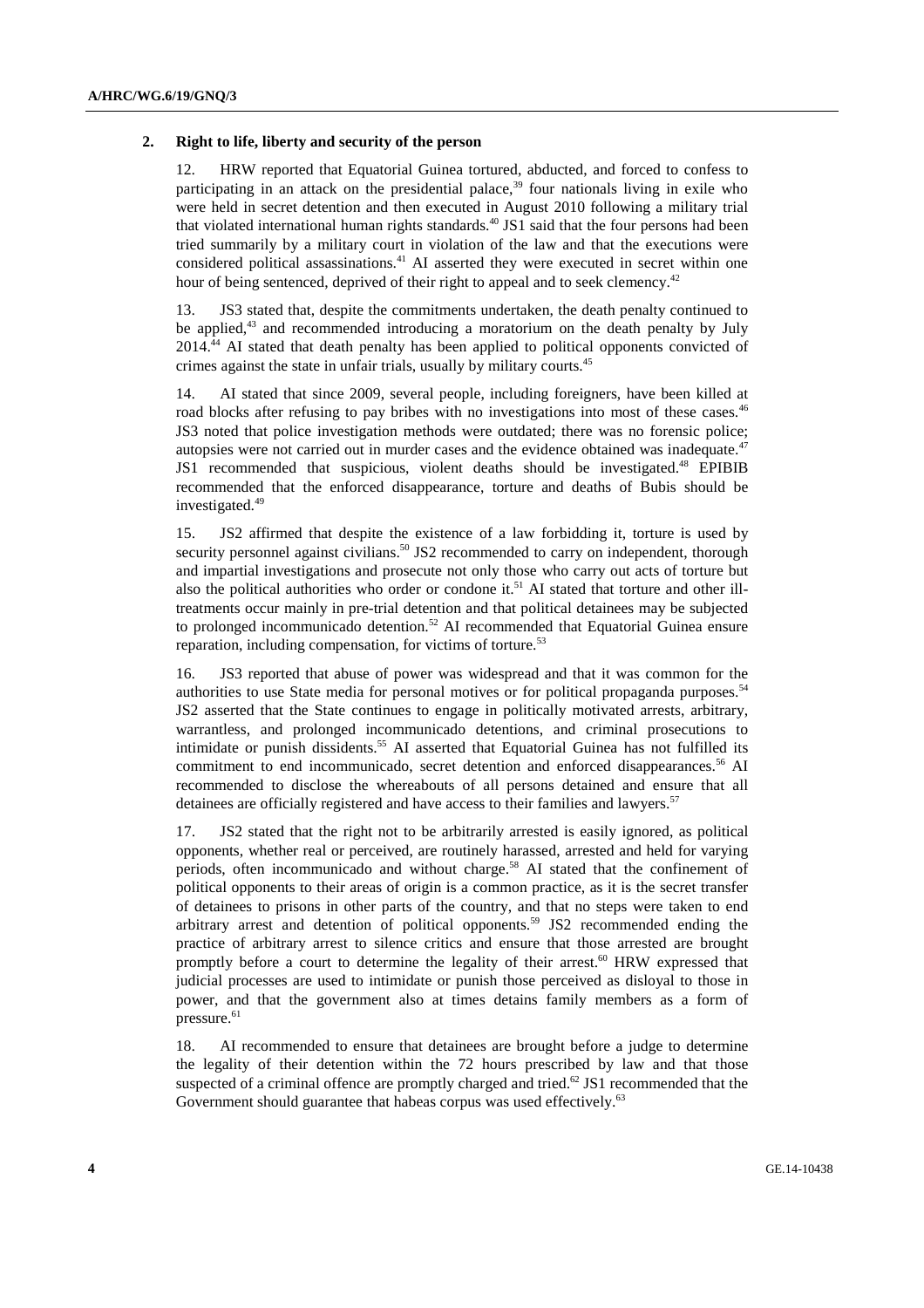#### **2. Right to life, liberty and security of the person**

12. HRW reported that Equatorial Guinea tortured, abducted, and forced to confess to participating in an attack on the presidential palace, $39$  four nationals living in exile who were held in secret detention and then executed in August 2010 following a military trial that violated international human rights standards.<sup>40</sup> JS1 said that the four persons had been tried summarily by a military court in violation of the law and that the executions were considered political assassinations.<sup>41</sup> AI asserted they were executed in secret within one hour of being sentenced, deprived of their right to appeal and to seek clemency.<sup>42</sup>

13. JS3 stated that, despite the commitments undertaken, the death penalty continued to be applied,<sup>43</sup> and recommended introducing a moratorium on the death penalty by July 2014.44 AI stated that death penalty has been applied to political opponents convicted of crimes against the state in unfair trials, usually by military courts.<sup>45</sup>

14. AI stated that since 2009, several people, including foreigners, have been killed at road blocks after refusing to pay bribes with no investigations into most of these cases.<sup>46</sup> JS3 noted that police investigation methods were outdated; there was no forensic police; autopsies were not carried out in murder cases and the evidence obtained was inadequate.<sup>47</sup> JS1 recommended that suspicious, violent deaths should be investigated.48 EPIBIB recommended that the enforced disappearance, torture and deaths of Bubis should be investigated.<sup>49</sup>

15. JS2 affirmed that despite the existence of a law forbidding it, torture is used by security personnel against civilians.<sup>50</sup> JS2 recommended to carry on independent, thorough and impartial investigations and prosecute not only those who carry out acts of torture but also the political authorities who order or condone it.<sup>51</sup> AI stated that torture and other illtreatments occur mainly in pre-trial detention and that political detainees may be subjected to prolonged incommunicado detention.<sup>52</sup> AI recommended that Equatorial Guinea ensure reparation, including compensation, for victims of torture.<sup>53</sup>

16. JS3 reported that abuse of power was widespread and that it was common for the authorities to use State media for personal motives or for political propaganda purposes.<sup>54</sup> JS2 asserted that the State continues to engage in politically motivated arrests, arbitrary, warrantless, and prolonged incommunicado detentions, and criminal prosecutions to intimidate or punish dissidents.<sup>55</sup> AI asserted that Equatorial Guinea has not fulfilled its commitment to end incommunicado, secret detention and enforced disappearances.<sup>56</sup> AI recommended to disclose the whereabouts of all persons detained and ensure that all detainees are officially registered and have access to their families and lawyers.<sup>57</sup>

17. JS2 stated that the right not to be arbitrarily arrested is easily ignored, as political opponents, whether real or perceived, are routinely harassed, arrested and held for varying periods, often incommunicado and without charge.<sup>58</sup> AI stated that the confinement of political opponents to their areas of origin is a common practice, as it is the secret transfer of detainees to prisons in other parts of the country, and that no steps were taken to end arbitrary arrest and detention of political opponents.59 JS2 recommended ending the practice of arbitrary arrest to silence critics and ensure that those arrested are brought promptly before a court to determine the legality of their arrest.<sup>60</sup> HRW expressed that judicial processes are used to intimidate or punish those perceived as disloyal to those in power, and that the government also at times detains family members as a form of pressure.<sup>61</sup>

18. AI recommended to ensure that detainees are brought before a judge to determine the legality of their detention within the 72 hours prescribed by law and that those suspected of a criminal offence are promptly charged and tried.<sup>62</sup> JS1 recommended that the Government should guarantee that habeas corpus was used effectively.<sup>63</sup>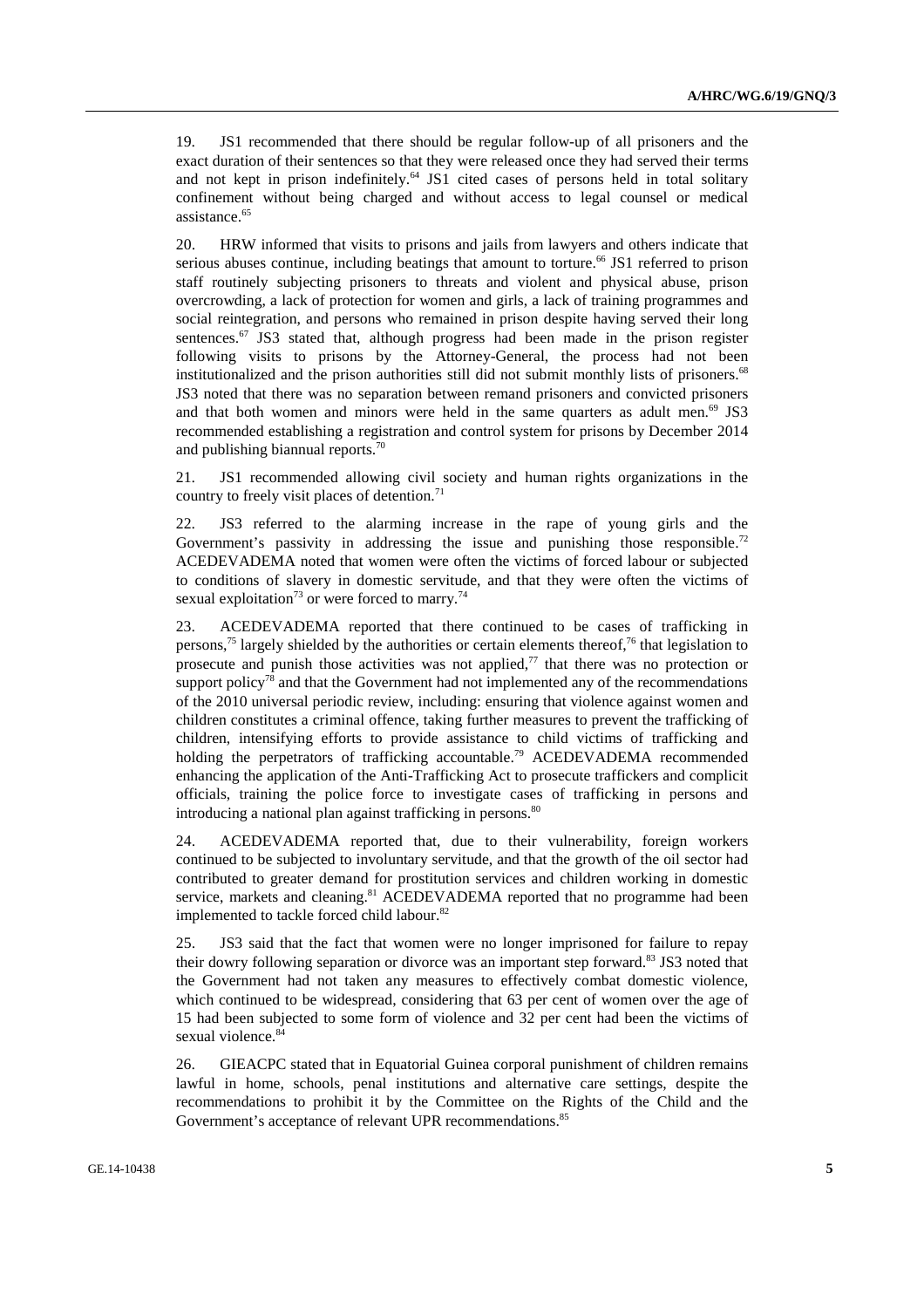19. JS1 recommended that there should be regular follow-up of all prisoners and the exact duration of their sentences so that they were released once they had served their terms and not kept in prison indefinitely.<sup>64</sup> JS1 cited cases of persons held in total solitary confinement without being charged and without access to legal counsel or medical assistance.<sup>65</sup>

20. HRW informed that visits to prisons and jails from lawyers and others indicate that serious abuses continue, including beatings that amount to torture.<sup>66</sup> JS1 referred to prison staff routinely subjecting prisoners to threats and violent and physical abuse, prison overcrowding, a lack of protection for women and girls, a lack of training programmes and social reintegration, and persons who remained in prison despite having served their long sentences.<sup>67</sup> JS3 stated that, although progress had been made in the prison register following visits to prisons by the Attorney-General, the process had not been institutionalized and the prison authorities still did not submit monthly lists of prisoners.<sup>68</sup> JS3 noted that there was no separation between remand prisoners and convicted prisoners and that both women and minors were held in the same quarters as adult men. $69$  JS3 recommended establishing a registration and control system for prisons by December 2014 and publishing biannual reports.<sup>70</sup>

21. JS1 recommended allowing civil society and human rights organizations in the country to freely visit places of detention. $71$ 

22. JS3 referred to the alarming increase in the rape of young girls and the Government's passivity in addressing the issue and punishing those responsible.<sup>72</sup> ACEDEVADEMA noted that women were often the victims of forced labour or subjected to conditions of slavery in domestic servitude, and that they were often the victims of sexual exploitation<sup>73</sup> or were forced to marry.<sup>74</sup>

23. ACEDEVADEMA reported that there continued to be cases of trafficking in persons,<sup>75</sup> largely shielded by the authorities or certain elements thereof,<sup>76</sup> that legislation to prosecute and punish those activities was not applied, $77$  that there was no protection or support policy<sup>78</sup> and that the Government had not implemented any of the recommendations of the 2010 universal periodic review, including: ensuring that violence against women and children constitutes a criminal offence, taking further measures to prevent the trafficking of children, intensifying efforts to provide assistance to child victims of trafficking and holding the perpetrators of trafficking accountable.<sup>79</sup> ACEDEVADEMA recommended enhancing the application of the Anti-Trafficking Act to prosecute traffickers and complicit officials, training the police force to investigate cases of trafficking in persons and introducing a national plan against trafficking in persons.<sup>80</sup>

24. ACEDEVADEMA reported that, due to their vulnerability, foreign workers continued to be subjected to involuntary servitude, and that the growth of the oil sector had contributed to greater demand for prostitution services and children working in domestic service, markets and cleaning.<sup>81</sup> ACEDEVADEMA reported that no programme had been implemented to tackle forced child labour.<sup>82</sup>

25. JS3 said that the fact that women were no longer imprisoned for failure to repay their dowry following separation or divorce was an important step forward.<sup>83</sup> JS3 noted that the Government had not taken any measures to effectively combat domestic violence, which continued to be widespread, considering that 63 per cent of women over the age of 15 had been subjected to some form of violence and 32 per cent had been the victims of sexual violence.<sup>84</sup>

26. GIEACPC stated that in Equatorial Guinea corporal punishment of children remains lawful in home, schools, penal institutions and alternative care settings, despite the recommendations to prohibit it by the Committee on the Rights of the Child and the Government's acceptance of relevant UPR recommendations.<sup>85</sup>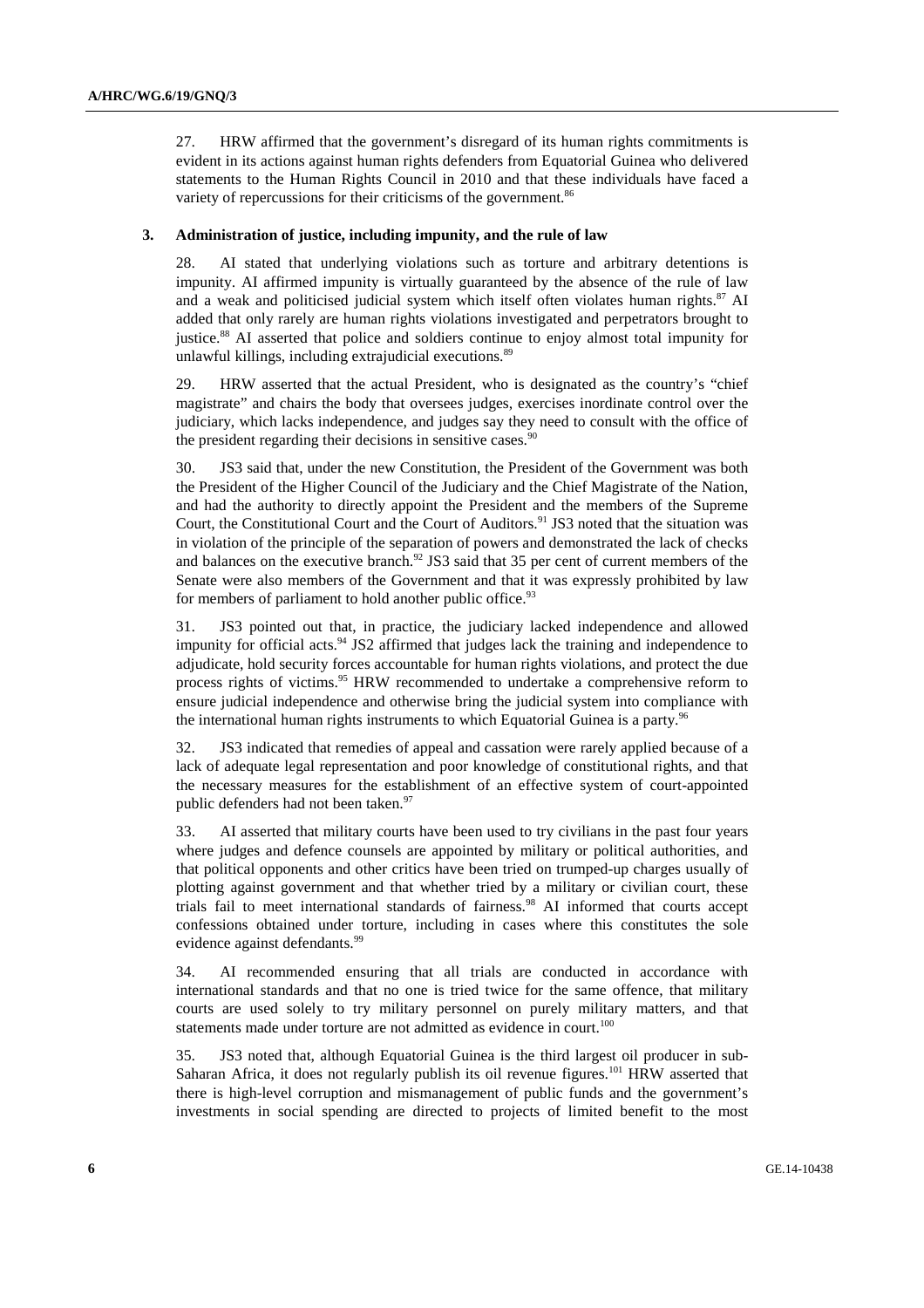27. HRW affirmed that the government's disregard of its human rights commitments is evident in its actions against human rights defenders from Equatorial Guinea who delivered statements to the Human Rights Council in 2010 and that these individuals have faced a variety of repercussions for their criticisms of the government.<sup>86</sup>

#### **3. Administration of justice, including impunity, and the rule of law**

28. AI stated that underlying violations such as torture and arbitrary detentions is impunity. AI affirmed impunity is virtually guaranteed by the absence of the rule of law and a weak and politicised judicial system which itself often violates human rights. $87$  AI added that only rarely are human rights violations investigated and perpetrators brought to justice.88 AI asserted that police and soldiers continue to enjoy almost total impunity for unlawful killings, including extrajudicial executions.<sup>89</sup>

29. HRW asserted that the actual President, who is designated as the country's "chief magistrate" and chairs the body that oversees judges, exercises inordinate control over the judiciary, which lacks independence, and judges say they need to consult with the office of the president regarding their decisions in sensitive cases. $90$ 

30. JS3 said that, under the new Constitution, the President of the Government was both the President of the Higher Council of the Judiciary and the Chief Magistrate of the Nation, and had the authority to directly appoint the President and the members of the Supreme Court, the Constitutional Court and the Court of Auditors.<sup>91</sup> JS3 noted that the situation was in violation of the principle of the separation of powers and demonstrated the lack of checks and balances on the executive branch.<sup>92</sup> JS3 said that 35 per cent of current members of the Senate were also members of the Government and that it was expressly prohibited by law for members of parliament to hold another public office.<sup>93</sup>

31. JS3 pointed out that, in practice, the judiciary lacked independence and allowed impunity for official acts.<sup>94</sup> JS2 affirmed that judges lack the training and independence to adjudicate, hold security forces accountable for human rights violations, and protect the due process rights of victims.95 HRW recommended to undertake a comprehensive reform to ensure judicial independence and otherwise bring the judicial system into compliance with the international human rights instruments to which Equatorial Guinea is a party.<sup>96</sup>

32. JS3 indicated that remedies of appeal and cassation were rarely applied because of a lack of adequate legal representation and poor knowledge of constitutional rights, and that the necessary measures for the establishment of an effective system of court-appointed public defenders had not been taken.<sup>97</sup>

33. AI asserted that military courts have been used to try civilians in the past four years where judges and defence counsels are appointed by military or political authorities, and that political opponents and other critics have been tried on trumped-up charges usually of plotting against government and that whether tried by a military or civilian court, these trials fail to meet international standards of fairness.98 AI informed that courts accept confessions obtained under torture, including in cases where this constitutes the sole evidence against defendants.<sup>99</sup>

34. AI recommended ensuring that all trials are conducted in accordance with international standards and that no one is tried twice for the same offence, that military courts are used solely to try military personnel on purely military matters, and that statements made under torture are not admitted as evidence in court.<sup>100</sup>

35. JS3 noted that, although Equatorial Guinea is the third largest oil producer in sub-Saharan Africa, it does not regularly publish its oil revenue figures.<sup>101</sup> HRW asserted that there is high-level corruption and mismanagement of public funds and the government's investments in social spending are directed to projects of limited benefit to the most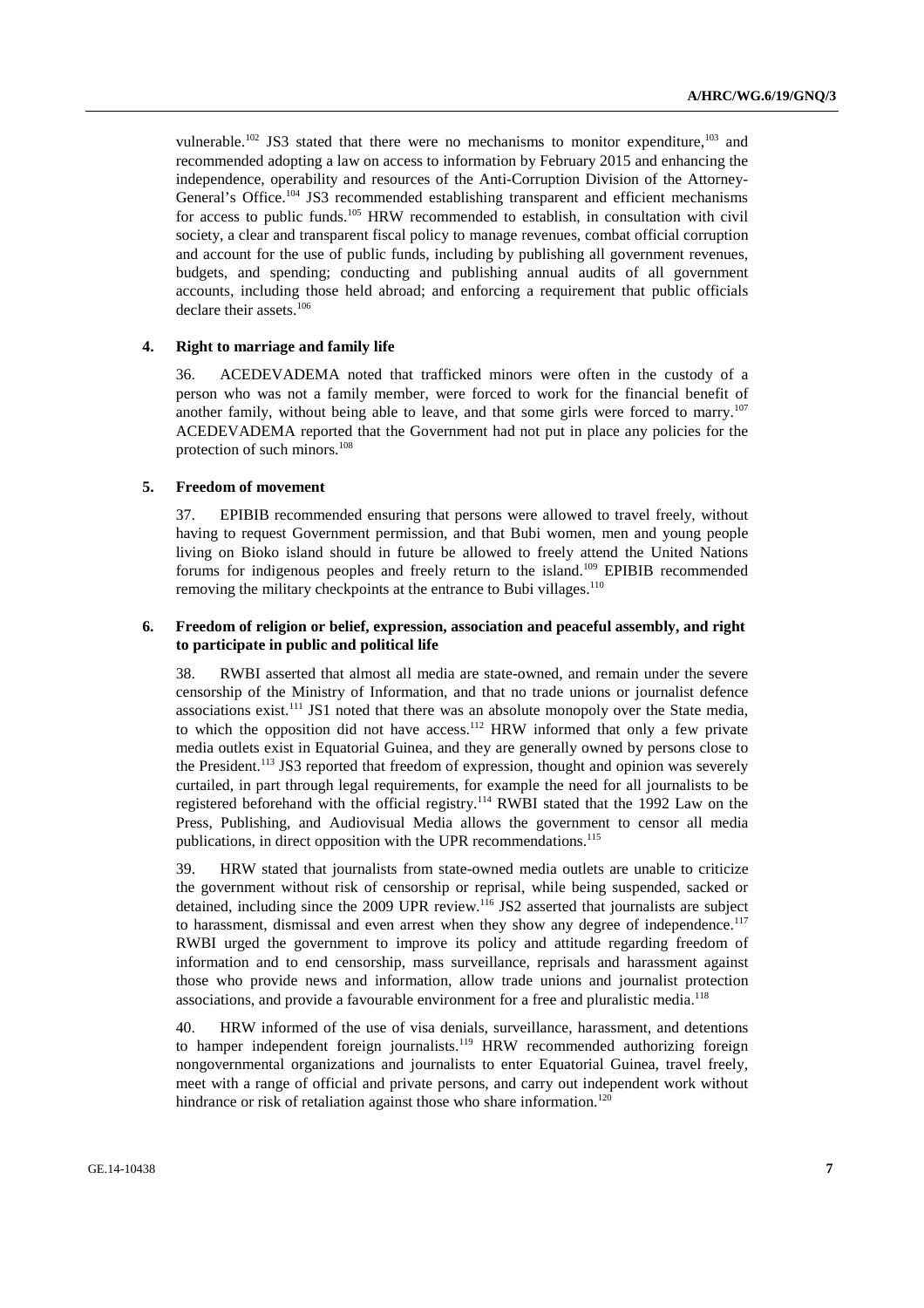vulnerable.<sup>102</sup> JS3 stated that there were no mechanisms to monitor expenditure,<sup>103</sup> and recommended adopting a law on access to information by February 2015 and enhancing the independence, operability and resources of the Anti-Corruption Division of the Attorney-General's Office.<sup>104</sup> JS3 recommended establishing transparent and efficient mechanisms for access to public funds.<sup>105</sup> HRW recommended to establish, in consultation with civil society, a clear and transparent fiscal policy to manage revenues, combat official corruption and account for the use of public funds, including by publishing all government revenues, budgets, and spending; conducting and publishing annual audits of all government accounts, including those held abroad; and enforcing a requirement that public officials declare their assets.<sup>106</sup>

## **4. Right to marriage and family life**

36. ACEDEVADEMA noted that trafficked minors were often in the custody of a person who was not a family member, were forced to work for the financial benefit of another family, without being able to leave, and that some girls were forced to marry.<sup>107</sup> ACEDEVADEMA reported that the Government had not put in place any policies for the protection of such minors.108

## **5. Freedom of movement**

37. EPIBIB recommended ensuring that persons were allowed to travel freely, without having to request Government permission, and that Bubi women, men and young people living on Bioko island should in future be allowed to freely attend the United Nations forums for indigenous peoples and freely return to the island.109 EPIBIB recommended removing the military checkpoints at the entrance to Bubi villages.<sup>110</sup>

## **6. Freedom of religion or belief, expression, association and peaceful assembly, and right to participate in public and political life**

38. RWBI asserted that almost all media are state-owned, and remain under the severe censorship of the Ministry of Information, and that no trade unions or journalist defence associations exist.<sup>111</sup> JS1 noted that there was an absolute monopoly over the State media, to which the opposition did not have  $access$ <sup>112</sup> HRW informed that only a few private media outlets exist in Equatorial Guinea, and they are generally owned by persons close to the President.<sup>113</sup> JS3 reported that freedom of expression, thought and opinion was severely curtailed, in part through legal requirements, for example the need for all journalists to be registered beforehand with the official registry.114 RWBI stated that the 1992 Law on the Press, Publishing, and Audiovisual Media allows the government to censor all media publications, in direct opposition with the UPR recommendations.<sup>115</sup>

39. HRW stated that journalists from state-owned media outlets are unable to criticize the government without risk of censorship or reprisal, while being suspended, sacked or detained, including since the 2009 UPR review.<sup>116</sup> JS2 asserted that journalists are subject to harassment, dismissal and even arrest when they show any degree of independence.<sup>117</sup> RWBI urged the government to improve its policy and attitude regarding freedom of information and to end censorship, mass surveillance, reprisals and harassment against those who provide news and information, allow trade unions and journalist protection associations, and provide a favourable environment for a free and pluralistic media.<sup>118</sup>

40. HRW informed of the use of visa denials, surveillance, harassment, and detentions to hamper independent foreign journalists.<sup>119</sup> HRW recommended authorizing foreign nongovernmental organizations and journalists to enter Equatorial Guinea, travel freely, meet with a range of official and private persons, and carry out independent work without hindrance or risk of retaliation against those who share information.<sup>120</sup>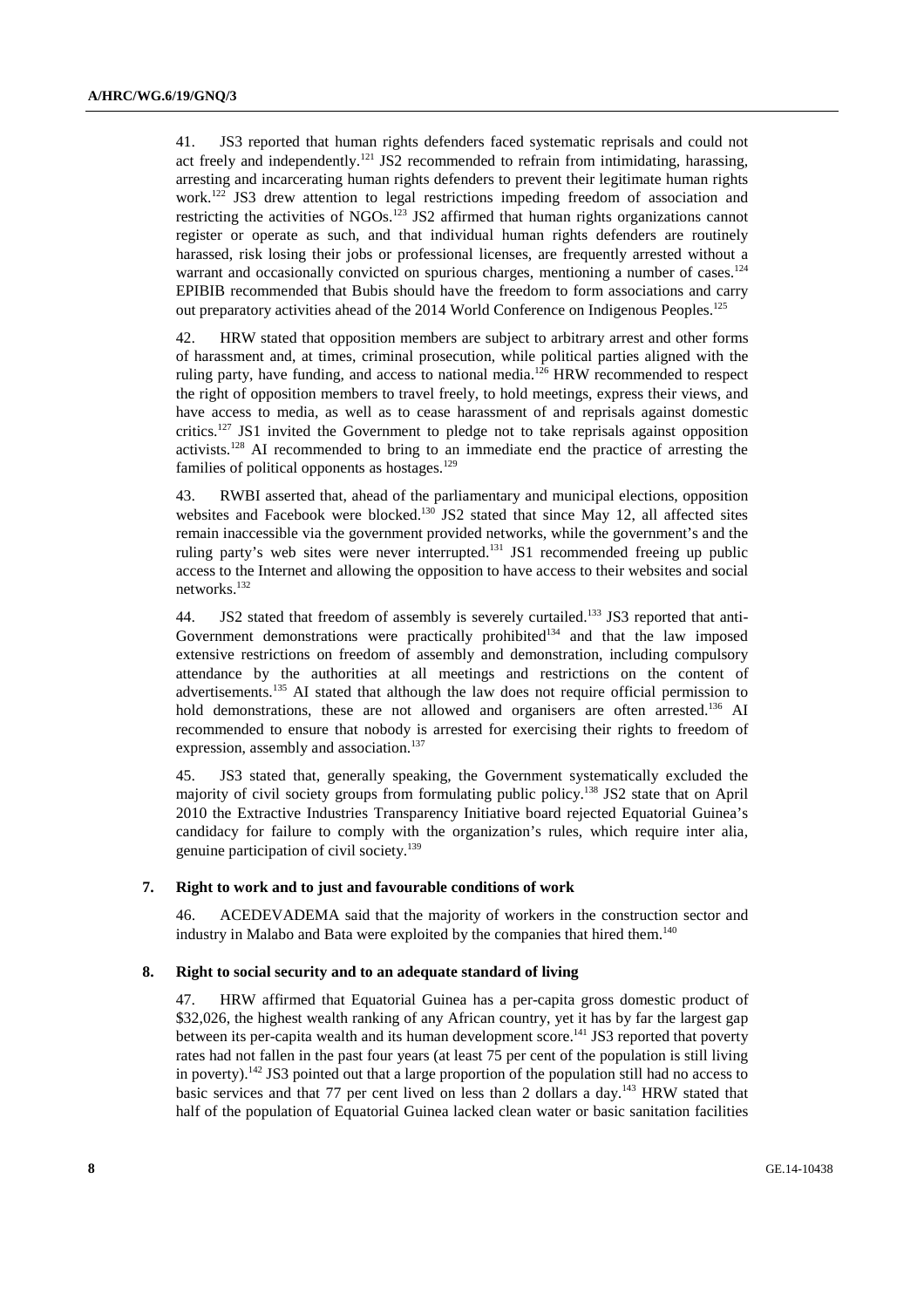41. JS3 reported that human rights defenders faced systematic reprisals and could not act freely and independently.<sup>121</sup> JS2 recommended to refrain from intimidating, harassing, arresting and incarcerating human rights defenders to prevent their legitimate human rights work.<sup>122</sup> JS3 drew attention to legal restrictions impeding freedom of association and restricting the activities of NGOs.<sup>123</sup> JS2 affirmed that human rights organizations cannot register or operate as such, and that individual human rights defenders are routinely harassed, risk losing their jobs or professional licenses, are frequently arrested without a warrant and occasionally convicted on spurious charges, mentioning a number of cases.<sup>124</sup> EPIBIB recommended that Bubis should have the freedom to form associations and carry out preparatory activities ahead of the 2014 World Conference on Indigenous Peoples.<sup>125</sup>

42. HRW stated that opposition members are subject to arbitrary arrest and other forms of harassment and, at times, criminal prosecution, while political parties aligned with the ruling party, have funding, and access to national media.<sup>126</sup> HRW recommended to respect the right of opposition members to travel freely, to hold meetings, express their views, and have access to media, as well as to cease harassment of and reprisals against domestic critics.127 JS1 invited the Government to pledge not to take reprisals against opposition activists.<sup>128</sup> AI recommended to bring to an immediate end the practice of arresting the families of political opponents as hostages. $129$ 

43. RWBI asserted that, ahead of the parliamentary and municipal elections, opposition websites and Facebook were blocked.<sup>130</sup> JS2 stated that since May 12, all affected sites remain inaccessible via the government provided networks, while the government's and the ruling party's web sites were never interrupted.<sup>131</sup> JS1 recommended freeing up public access to the Internet and allowing the opposition to have access to their websites and social networks.132

44. JS2 stated that freedom of assembly is severely curtailed.<sup>133</sup> JS3 reported that anti-Government demonstrations were practically prohibited<sup>134</sup> and that the law imposed extensive restrictions on freedom of assembly and demonstration, including compulsory attendance by the authorities at all meetings and restrictions on the content of advertisements.135 AI stated that although the law does not require official permission to hold demonstrations, these are not allowed and organisers are often arrested.<sup>136</sup> AI recommended to ensure that nobody is arrested for exercising their rights to freedom of expression, assembly and association.<sup>137</sup>

45. JS3 stated that, generally speaking, the Government systematically excluded the majority of civil society groups from formulating public policy.138 JS2 state that on April 2010 the Extractive Industries Transparency Initiative board rejected Equatorial Guinea's candidacy for failure to comply with the organization's rules, which require inter alia, genuine participation of civil society.139

#### **7. Right to work and to just and favourable conditions of work**

46. ACEDEVADEMA said that the majority of workers in the construction sector and industry in Malabo and Bata were exploited by the companies that hired them.<sup>140</sup>

#### **8. Right to social security and to an adequate standard of living**

47. HRW affirmed that Equatorial Guinea has a per-capita gross domestic product of \$32,026, the highest wealth ranking of any African country, yet it has by far the largest gap between its per-capita wealth and its human development score.<sup>141</sup> JS3 reported that poverty rates had not fallen in the past four years (at least 75 per cent of the population is still living in poverty).<sup>142</sup> JS3 pointed out that a large proportion of the population still had no access to basic services and that 77 per cent lived on less than 2 dollars a day.<sup>143</sup> HRW stated that half of the population of Equatorial Guinea lacked clean water or basic sanitation facilities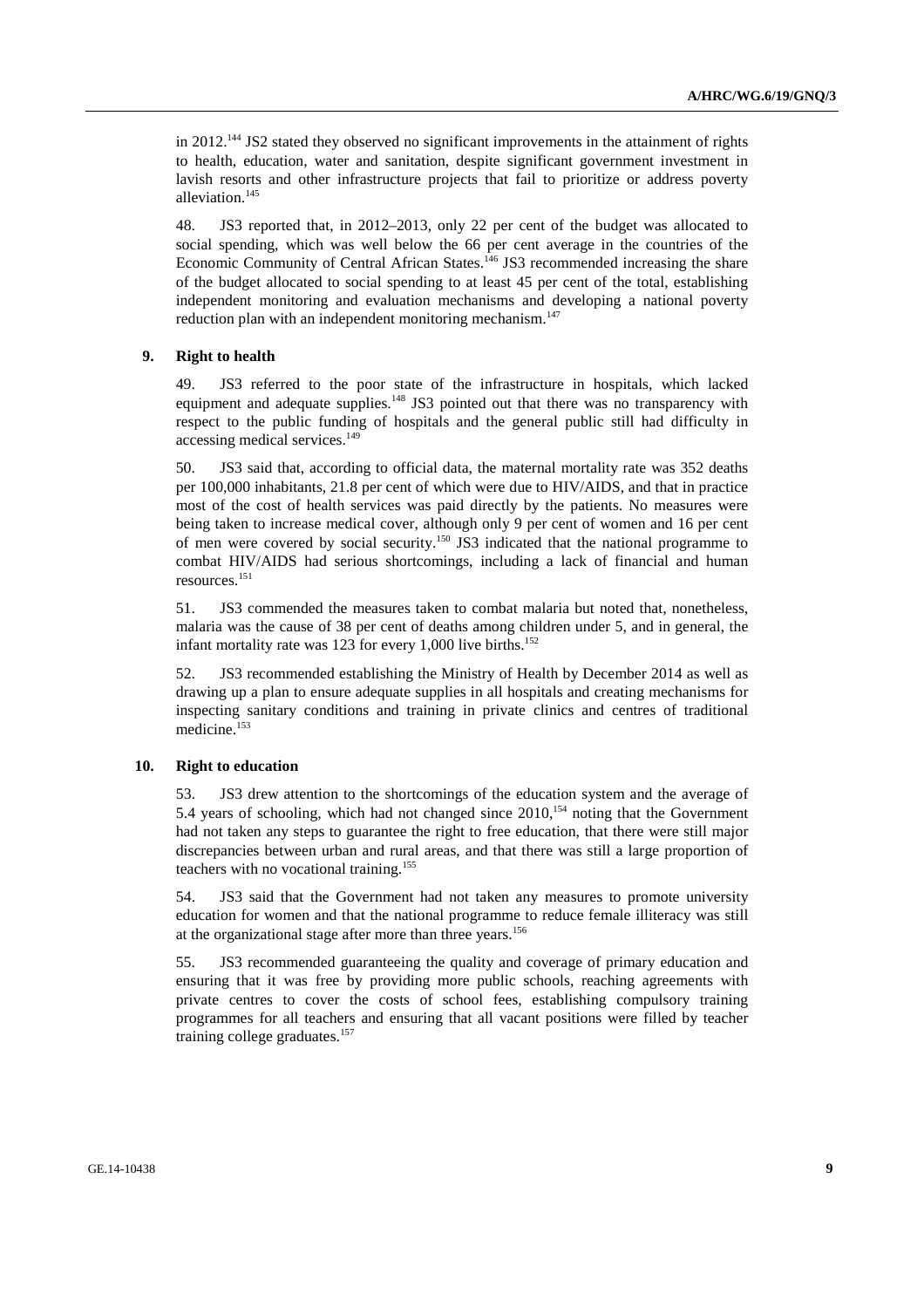in 2012.<sup>144</sup> JS2 stated they observed no significant improvements in the attainment of rights to health, education, water and sanitation, despite significant government investment in lavish resorts and other infrastructure projects that fail to prioritize or address poverty alleviation.<sup>145</sup>

48. JS3 reported that, in 2012–2013, only 22 per cent of the budget was allocated to social spending, which was well below the 66 per cent average in the countries of the Economic Community of Central African States.<sup>146</sup> JS3 recommended increasing the share of the budget allocated to social spending to at least 45 per cent of the total, establishing independent monitoring and evaluation mechanisms and developing a national poverty reduction plan with an independent monitoring mechanism.<sup>147</sup>

#### **9. Right to health**

49. JS3 referred to the poor state of the infrastructure in hospitals, which lacked equipment and adequate supplies.<sup>148</sup> JS3 pointed out that there was no transparency with respect to the public funding of hospitals and the general public still had difficulty in accessing medical services.<sup>149</sup>

50. JS3 said that, according to official data, the maternal mortality rate was 352 deaths per 100,000 inhabitants, 21.8 per cent of which were due to HIV/AIDS, and that in practice most of the cost of health services was paid directly by the patients. No measures were being taken to increase medical cover, although only 9 per cent of women and 16 per cent of men were covered by social security.150 JS3 indicated that the national programme to combat HIV/AIDS had serious shortcomings, including a lack of financial and human resources.151

51. JS3 commended the measures taken to combat malaria but noted that, nonetheless, malaria was the cause of 38 per cent of deaths among children under 5, and in general, the infant mortality rate was 123 for every 1,000 live births.<sup>152</sup>

52. JS3 recommended establishing the Ministry of Health by December 2014 as well as drawing up a plan to ensure adequate supplies in all hospitals and creating mechanisms for inspecting sanitary conditions and training in private clinics and centres of traditional medicine.153

#### **10. Right to education**

53. JS3 drew attention to the shortcomings of the education system and the average of 5.4 years of schooling, which had not changed since  $2010$ ,<sup>154</sup> noting that the Government had not taken any steps to guarantee the right to free education, that there were still major discrepancies between urban and rural areas, and that there was still a large proportion of teachers with no vocational training.155

54. JS3 said that the Government had not taken any measures to promote university education for women and that the national programme to reduce female illiteracy was still at the organizational stage after more than three years.<sup>156</sup>

55. JS3 recommended guaranteeing the quality and coverage of primary education and ensuring that it was free by providing more public schools, reaching agreements with private centres to cover the costs of school fees, establishing compulsory training programmes for all teachers and ensuring that all vacant positions were filled by teacher training college graduates.<sup>157</sup>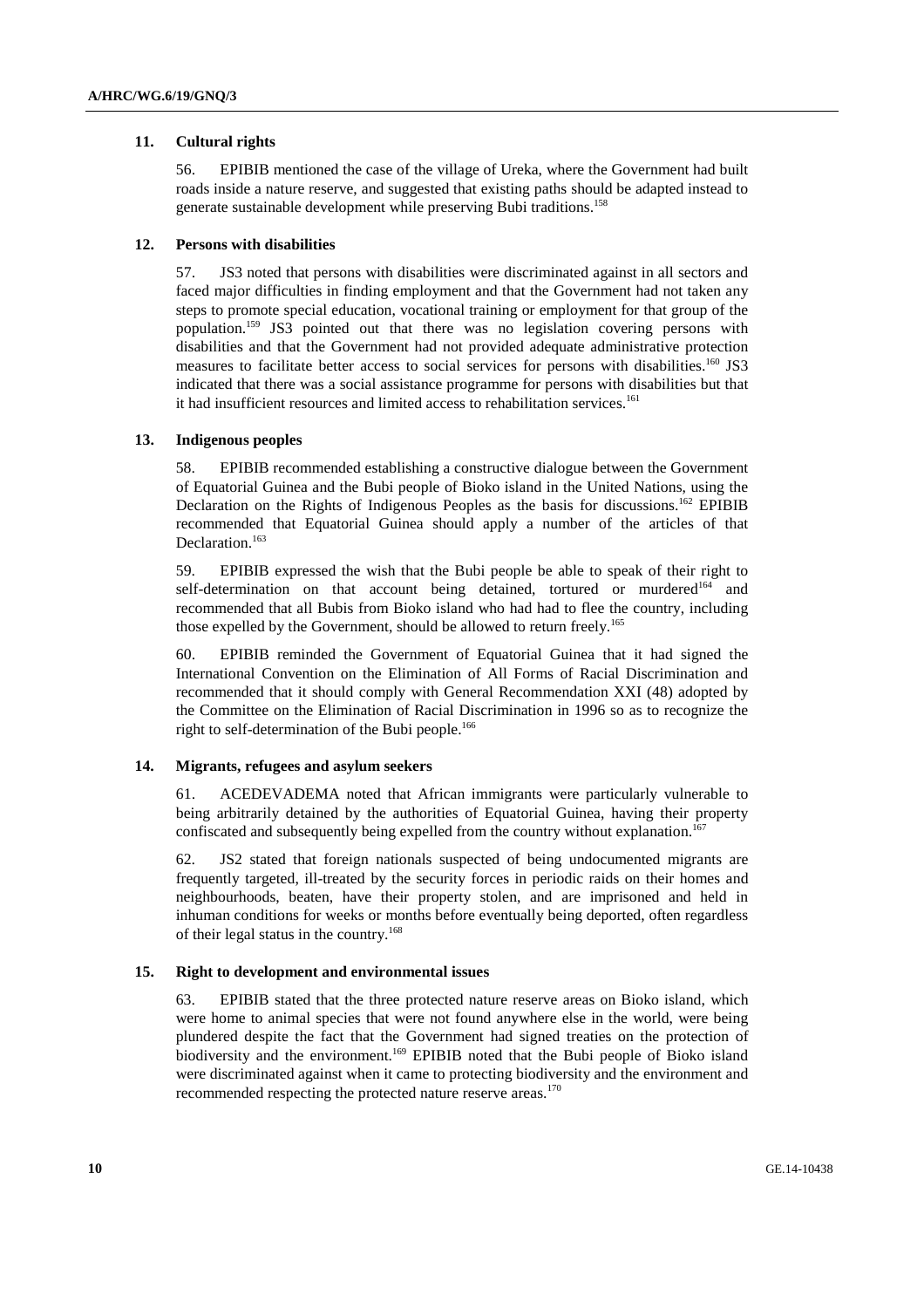## **11. Cultural rights**

56. EPIBIB mentioned the case of the village of Ureka, where the Government had built roads inside a nature reserve, and suggested that existing paths should be adapted instead to generate sustainable development while preserving Bubi traditions.158

## **12. Persons with disabilities**

57. JS3 noted that persons with disabilities were discriminated against in all sectors and faced major difficulties in finding employment and that the Government had not taken any steps to promote special education, vocational training or employment for that group of the population.159 JS3 pointed out that there was no legislation covering persons with disabilities and that the Government had not provided adequate administrative protection measures to facilitate better access to social services for persons with disabilities.<sup>160</sup> JS3 indicated that there was a social assistance programme for persons with disabilities but that it had insufficient resources and limited access to rehabilitation services.<sup>161</sup>

## **13. Indigenous peoples**

58. EPIBIB recommended establishing a constructive dialogue between the Government of Equatorial Guinea and the Bubi people of Bioko island in the United Nations, using the Declaration on the Rights of Indigenous Peoples as the basis for discussions.<sup>162</sup> EPIBIB recommended that Equatorial Guinea should apply a number of the articles of that Declaration.<sup>163</sup>

59. EPIBIB expressed the wish that the Bubi people be able to speak of their right to self-determination on that account being detained, tortured or murdered<sup>164</sup> and recommended that all Bubis from Bioko island who had had to flee the country, including those expelled by the Government, should be allowed to return freely.<sup>165</sup>

60. EPIBIB reminded the Government of Equatorial Guinea that it had signed the International Convention on the Elimination of All Forms of Racial Discrimination and recommended that it should comply with General Recommendation XXI (48) adopted by the Committee on the Elimination of Racial Discrimination in 1996 so as to recognize the right to self-determination of the Bubi people.<sup>166</sup>

#### **14. Migrants, refugees and asylum seekers**

61. ACEDEVADEMA noted that African immigrants were particularly vulnerable to being arbitrarily detained by the authorities of Equatorial Guinea, having their property confiscated and subsequently being expelled from the country without explanation.<sup>167</sup>

62. JS2 stated that foreign nationals suspected of being undocumented migrants are frequently targeted, ill-treated by the security forces in periodic raids on their homes and neighbourhoods, beaten, have their property stolen, and are imprisoned and held in inhuman conditions for weeks or months before eventually being deported, often regardless of their legal status in the country.<sup>168</sup>

## **15. Right to development and environmental issues**

63. EPIBIB stated that the three protected nature reserve areas on Bioko island, which were home to animal species that were not found anywhere else in the world, were being plundered despite the fact that the Government had signed treaties on the protection of biodiversity and the environment.<sup>169</sup> EPIBIB noted that the Bubi people of Bioko island were discriminated against when it came to protecting biodiversity and the environment and recommended respecting the protected nature reserve areas.<sup>170</sup>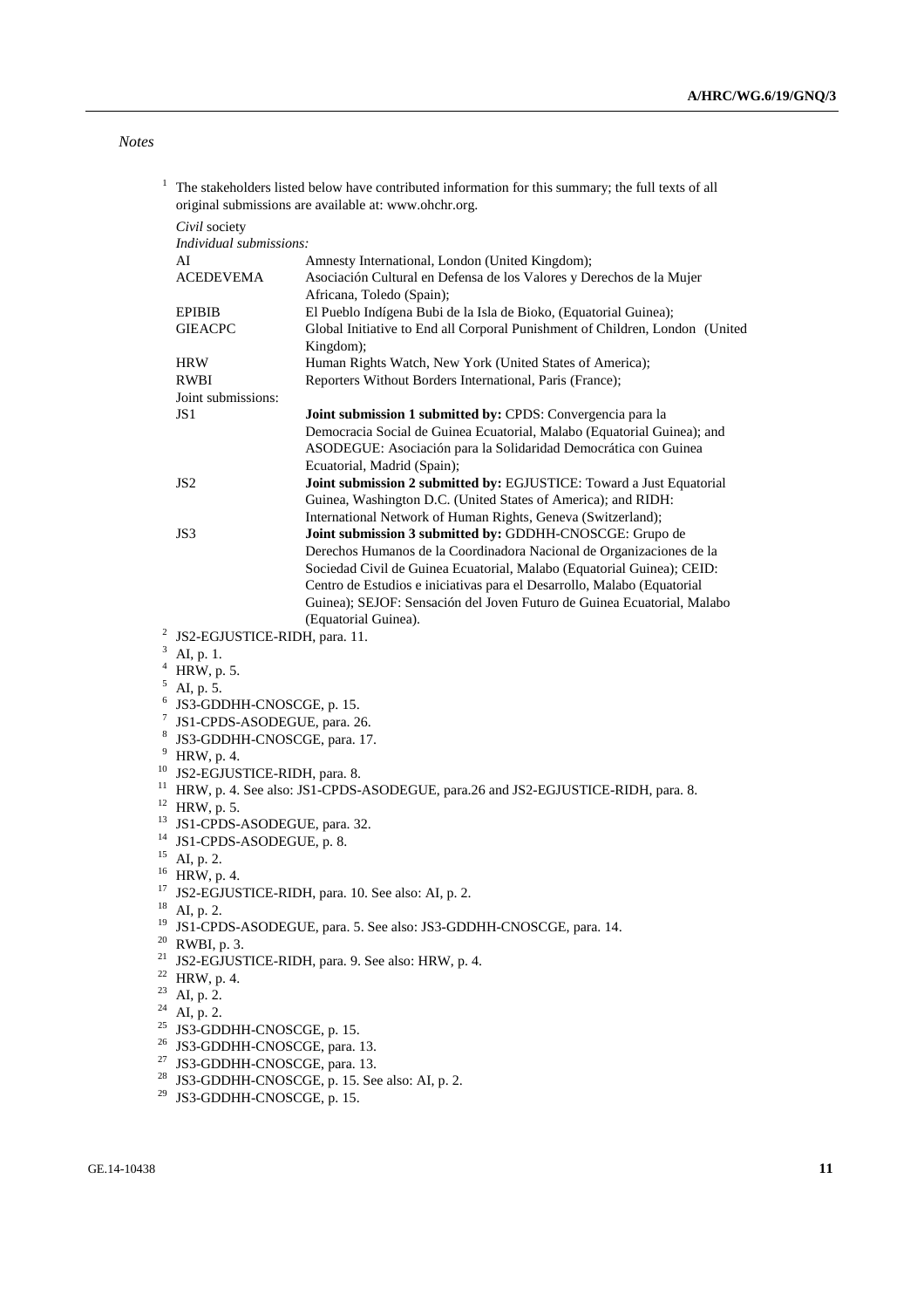*Notes* 

| 1                  | The stakeholders listed below have contributed information for this summary; the full texts of all<br>original submissions are available at: www.ohchr.org. |                                                                                                                                                                                                                                                                                       |
|--------------------|-------------------------------------------------------------------------------------------------------------------------------------------------------------|---------------------------------------------------------------------------------------------------------------------------------------------------------------------------------------------------------------------------------------------------------------------------------------|
|                    | Civil society<br>Individual submissions:                                                                                                                    |                                                                                                                                                                                                                                                                                       |
|                    | AI<br><b>ACEDEVEMA</b>                                                                                                                                      | Amnesty International, London (United Kingdom);<br>Asociación Cultural en Defensa de los Valores y Derechos de la Mujer<br>Africana, Toledo (Spain);                                                                                                                                  |
|                    | <b>EPIBIB</b><br><b>GIEACPC</b>                                                                                                                             | El Pueblo Indígena Bubi de la Isla de Bioko, (Equatorial Guinea);<br>Global Initiative to End all Corporal Punishment of Children, London (United<br>Kingdom);                                                                                                                        |
|                    | <b>HRW</b><br><b>RWBI</b>                                                                                                                                   | Human Rights Watch, New York (United States of America);<br>Reporters Without Borders International, Paris (France);                                                                                                                                                                  |
|                    | Joint submissions:                                                                                                                                          |                                                                                                                                                                                                                                                                                       |
|                    | JS 1                                                                                                                                                        | Joint submission 1 submitted by: CPDS: Convergencia para la<br>Democracia Social de Guinea Ecuatorial, Malabo (Equatorial Guinea); and<br>ASODEGUE: Asociación para la Solidaridad Democrática con Guinea<br>Ecuatorial, Madrid (Spain);                                              |
|                    | JS <sub>2</sub>                                                                                                                                             | Joint submission 2 submitted by: EGJUSTICE: Toward a Just Equatorial<br>Guinea, Washington D.C. (United States of America); and RIDH:<br>International Network of Human Rights, Geneva (Switzerland);                                                                                 |
|                    | JS3                                                                                                                                                         | Joint submission 3 submitted by: GDDHH-CNOSCGE: Grupo de<br>Derechos Humanos de la Coordinadora Nacional de Organizaciones de la<br>Sociedad Civil de Guinea Ecuatorial, Malabo (Equatorial Guinea); CEID:<br>Centro de Estudios e iniciativas para el Desarrollo, Malabo (Equatorial |
|                    |                                                                                                                                                             | Guinea); SEJOF: Sensación del Joven Futuro de Guinea Ecuatorial, Malabo<br>(Equatorial Guinea).                                                                                                                                                                                       |
|                    | <sup>2</sup> JS2-EGJUSTICE-RIDH, para. 11.                                                                                                                  |                                                                                                                                                                                                                                                                                       |
|                    | $3$ AI, p. 1.                                                                                                                                               |                                                                                                                                                                                                                                                                                       |
| $\overline{4}$     | HRW, p. 5.                                                                                                                                                  |                                                                                                                                                                                                                                                                                       |
| 5                  | AI, p. 5.                                                                                                                                                   |                                                                                                                                                                                                                                                                                       |
| 6                  | JS3-GDDHH-CNOSCGE, p. 15.                                                                                                                                   |                                                                                                                                                                                                                                                                                       |
| $\mathcal{I}$<br>8 | JS1-CPDS-ASODEGUE, para. 26.                                                                                                                                |                                                                                                                                                                                                                                                                                       |
| 9                  | JS3-GDDHH-CNOSCGE, para. 17.                                                                                                                                |                                                                                                                                                                                                                                                                                       |
| 10                 | HRW, p. 4.<br>JS2-EGJUSTICE-RIDH, para. 8.                                                                                                                  |                                                                                                                                                                                                                                                                                       |
| 11                 | HRW, p. 4. See also: JS1-CPDS-ASODEGUE, para.26 and JS2-EGJUSTICE-RIDH, para. 8.                                                                            |                                                                                                                                                                                                                                                                                       |
| 12                 | HRW, p. 5.                                                                                                                                                  |                                                                                                                                                                                                                                                                                       |
| 13                 | JS1-CPDS-ASODEGUE, para. 32.                                                                                                                                |                                                                                                                                                                                                                                                                                       |
| 14                 | JS1-CPDS-ASODEGUE, p. 8.                                                                                                                                    |                                                                                                                                                                                                                                                                                       |
| 15                 | AI, p. 2.                                                                                                                                                   |                                                                                                                                                                                                                                                                                       |
| 16                 | HRW, p. 4.                                                                                                                                                  |                                                                                                                                                                                                                                                                                       |
| 17                 | JS2-EGJUSTICE-RIDH, para. 10. See also: AI, p. 2.                                                                                                           |                                                                                                                                                                                                                                                                                       |
| 18                 | AI, p. 2.                                                                                                                                                   |                                                                                                                                                                                                                                                                                       |
|                    | <sup>19</sup> JS1-CPDS-ASODEGUE, para. 5. See also: JS3-GDDHH-CNOSCGE, para. 14.<br>$20$ RWBI, p. 3.                                                        |                                                                                                                                                                                                                                                                                       |
|                    | <sup>21</sup> JS2-EGJUSTICE-RIDH, para. 9. See also: HRW, p. 4.                                                                                             |                                                                                                                                                                                                                                                                                       |
| 22                 | HRW, p. 4.                                                                                                                                                  |                                                                                                                                                                                                                                                                                       |
|                    | $23$ AI, p. 2.                                                                                                                                              |                                                                                                                                                                                                                                                                                       |
|                    | $24$ AI, p. 2.                                                                                                                                              |                                                                                                                                                                                                                                                                                       |
|                    | <sup>25</sup> JS3-GDDHH-CNOSCGE, p. 15.                                                                                                                     |                                                                                                                                                                                                                                                                                       |
|                    | <sup>26</sup> JS3-GDDHH-CNOSCGE, para. 13.                                                                                                                  |                                                                                                                                                                                                                                                                                       |
| 27                 | JS3-GDDHH-CNOSCGE, para. 13.                                                                                                                                |                                                                                                                                                                                                                                                                                       |
| 28                 | JS3-GDDHH-CNOSCGE, p. 15. See also: AI, p. 2.                                                                                                               |                                                                                                                                                                                                                                                                                       |
| 29                 | JS3-GDDHH-CNOSCGE, p. 15.                                                                                                                                   |                                                                                                                                                                                                                                                                                       |
|                    |                                                                                                                                                             |                                                                                                                                                                                                                                                                                       |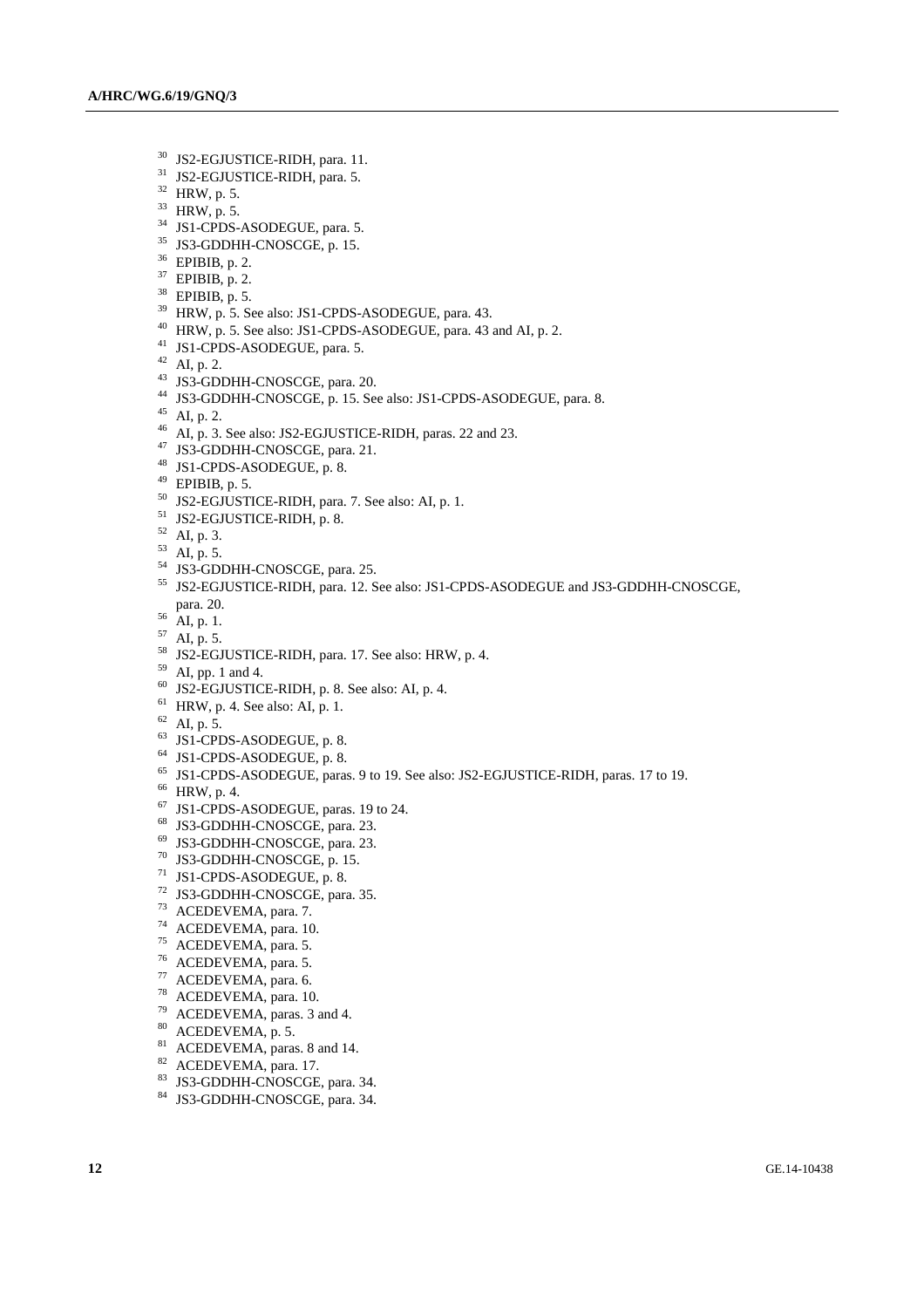- 30 JS2-EGJUSTICE-RIDH, para. 11.
- <sup>31</sup> JS2-EGJUSTICE-RIDH, para. 5.
- 32 HRW, p. 5.
- 33 HRW, p. 5.
- <sup>34</sup> JS1-CPDS-ASODEGUE, para. 5.
- 35 JS3-GDDHH-CNOSCGE, p. 15.
- 36 EPIBIB, p. 2.
- $37$  EPIBIB, p. 2.
- 38 EPIBIB, p. 5.
- $39$  HRW, p. 5. See also: JS1-CPDS-ASODEGUE, para. 43.
- 40 HRW, p. 5. See also: JS1-CPDS-ASODEGUE, para. 43 and AI, p. 2.
- 41 JS1-CPDS-ASODEGUE, para. 5.
- $42$  AI, p. 2.
- 43 JS3-GDDHH-CNOSCGE, para. 20.
- 44 JS3-GDDHH-CNOSCGE, p. 15. See also: JS1-CPDS-ASODEGUE, para. 8.
- $45$  AI, p. 2.
- <sup>46</sup> AI, p. 3. See also: JS2-EGJUSTICE-RIDH, paras. 22 and 23.
- 47 JS3-GDDHH-CNOSCGE, para. 21.
- 48 JS1-CPDS-ASODEGUE, p. 8.
- $49$  EPIBIB, p. 5.
- 50 JS2-EGJUSTICE-RIDH, para. 7. See also: AI, p. 1.
- 51 JS2-EGJUSTICE-RIDH, p. 8.
- 52 AI, p. 3.
- 53 AI, p. 5.
- <sup>54</sup> JS3-GDDHH-CNOSCGE, para. 25.
- 55 JS2-EGJUSTICE-RIDH, para. 12. See also: JS1-CPDS-ASODEGUE and JS3-GDDHH-CNOSCGE, para. 20. 56 AI, p. 1.
- 
- $57$  AI, p. 5.
- $58$  JS2-EGJUSTICE-RIDH, para. 17. See also: HRW, p. 4.
- $59$  AI, pp. 1 and 4.
- 
- $60$  JS2-EGJUSTICE-RIDH, p. 8. See also: AI, p. 4.
- $61$  HRW, p. 4. See also: AI, p. 1.
- $62$  AI, p. 5.
- $63$  JS1-CPDS-ASODEGUE, p. 8.
- 64 JS1-CPDS-ASODEGUE, p. 8.
- 65 JS1-CPDS-ASODEGUE, paras. 9 to 19. See also: JS2-EGJUSTICE-RIDH, paras. 17 to 19.
- 66 HRW, p. 4.
- 67 JS1-CPDS-ASODEGUE, paras. 19 to 24.
- 68 JS3-GDDHH-CNOSCGE, para. 23.
- 69 JS3-GDDHH-CNOSCGE, para. 23.
- 70 JS3-GDDHH-CNOSCGE, p. 15.
- 71 JS1-CPDS-ASODEGUE, p. 8.
- 72 JS3-GDDHH-CNOSCGE, para. 35.
- 73 ACEDEVEMA, para. 7.
- 74 ACEDEVEMA, para. 10.
- 75 ACEDEVEMA, para. 5.
- 76 ACEDEVEMA, para. 5.
- 77 ACEDEVEMA, para. 6.
- 78 ACEDEVEMA, para. 10.
- $79$  ACEDEVEMA, paras. 3 and 4.
- $80$  ACEDEVEMA, p. 5.
- <sup>81</sup> ACEDEVEMA, paras. 8 and 14.
- $82$  ACEDEVEMA, para. 17.
- 83 JS3-GDDHH-CNOSCGE, para. 34.
- 84 JS3-GDDHH-CNOSCGE, para. 34.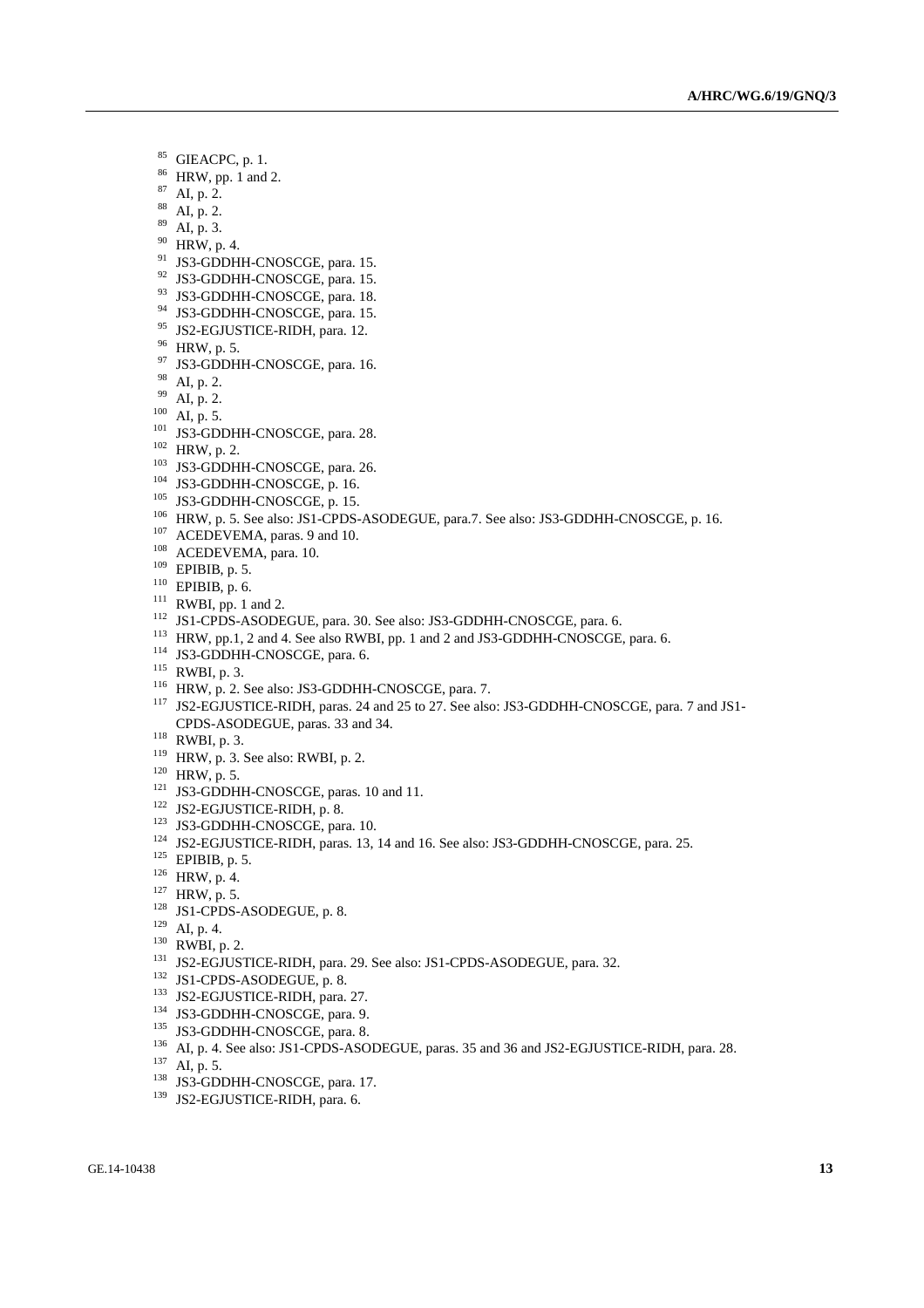- 85 GIEACPC, p. 1.
- 86 HRW, pp. 1 and 2.
- 87 AI, p. 2.
- $88$  AI, p. 2.
- 89 AI, p. 3.
- 90 HRW, p. 4.
- <sup>91</sup> JS3-GDDHH-CNOSCGE, para. 15.
- 92 JS3-GDDHH-CNOSCGE, para. 15.
- 93 JS3-GDDHH-CNOSCGE, para. 18.
- <sup>94</sup> JS3-GDDHH-CNOSCGE, para. 15.
- <sup>95</sup> JS2-EGJUSTICE-RIDH, para. 12.
- 96 HRW, p. 5.
- <sup>97</sup> JS3-GDDHH-CNOSCGE, para. 16.
- $^{98}$  AI, p. 2.<br> $^{99}$  AI, p. 2.
- 
- 
- 
- 
- 
- 
- 
- 
- 
- 
- 
- 
- 
- 
- 
- 
- 
- 
- <sup>99</sup> AI, p. 2.<br>
<sup>109</sup> AI, p. 5.<br>
<sup>101</sup> AIS, 5.<br>
<sup>102</sup> HRW, p. 2.<br>
<sup>102</sup> HRW, p. 2.<br>
<sup>103</sup> IS3-GDDHH-CNOSCGE, para. 26.<br>
<sup>104</sup> IS3-GDDHH-CNOSCGE, p. 16.<br>
<sup>104</sup> IS3-GDDHH-CNOSCGE, p. 15.<br>
<sup>106</sup> HRW, p. 5. See also: JS1-CPDS-CPDS-ASODEGUE, paras. 33 and 34.<br>
118 RWBI, p. 2.<br>
119 HRW, p. 3. See also: RWBI, p. 2.<br>
121 IS2-GODHH-CNOSCGE, paras. 10 and 11.<br>
121 IS2-GODHH-CNOSCGE, paras. 10.<br>
121 IS2-GODHH-CNOSCGE, paras. 10.<br>
124 IS2-GODHI-CNOSCGE
- 
- 
- 
- 
- 
- 
- 
- 
- 
- 
- 
- 
- 
- 
- 
- 
- 
- 
- 
- 
- 
-